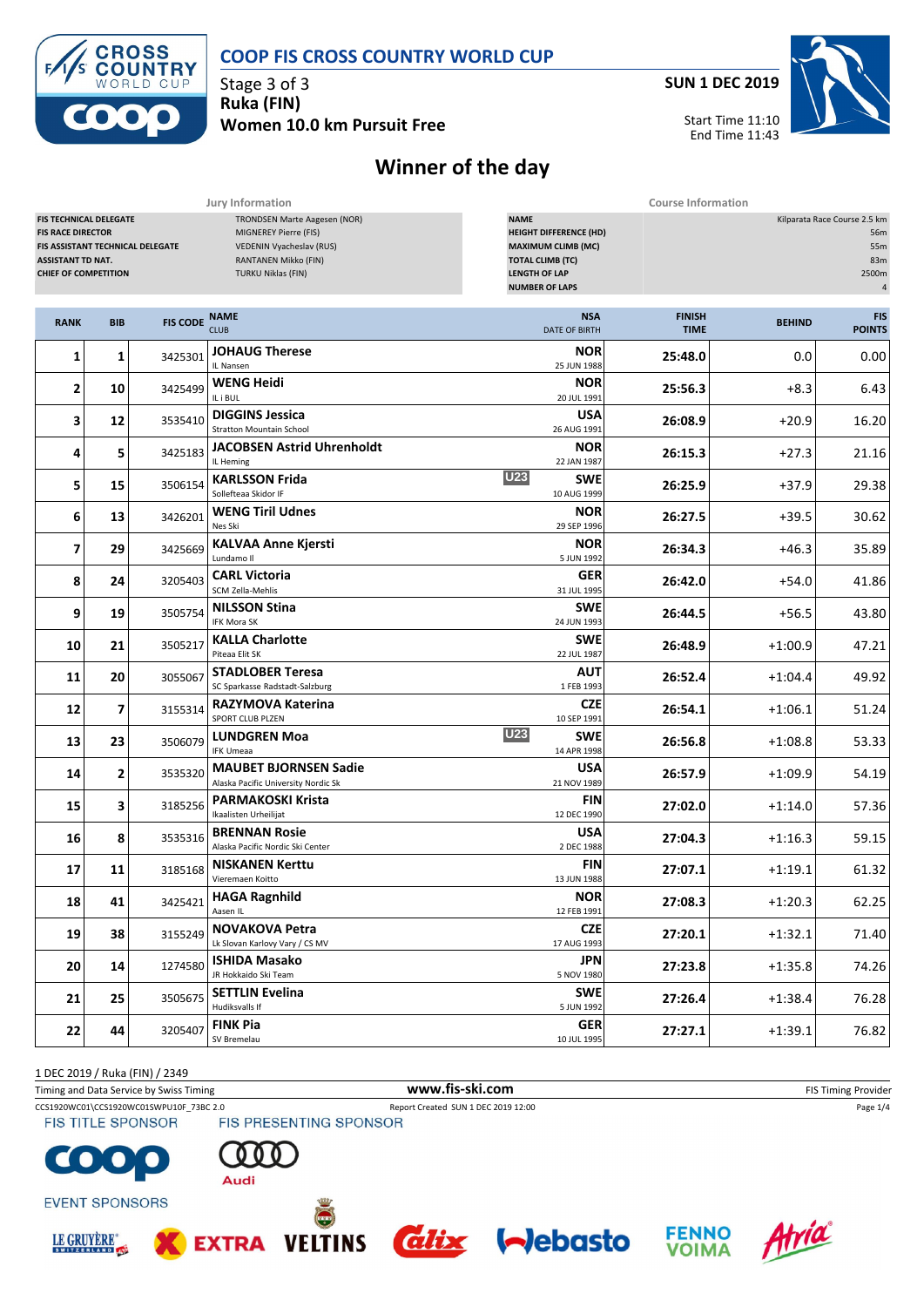

#### **COOP FIS CROSS COUNTRY WORLD CUP**

Stage 3 of 3 **Ruka (FIN) Women 10.0 km Pursuit Free** **SUN 1 DEC 2019**

Start Time 11:10

End Time 11:43



# **Winner of the day**

|                                                                                                                                                          |                |                 | Jury Information                                                                                                                       |                                                                                                                                                       | <b>Course Information</b> |                                                                              |       |  |
|----------------------------------------------------------------------------------------------------------------------------------------------------------|----------------|-----------------|----------------------------------------------------------------------------------------------------------------------------------------|-------------------------------------------------------------------------------------------------------------------------------------------------------|---------------------------|------------------------------------------------------------------------------|-------|--|
| <b>FIS TECHNICAL DELEGATE</b><br><b>FIS RACE DIRECTOR</b><br>FIS ASSISTANT TECHNICAL DELEGATE<br><b>ASSISTANT TD NAT.</b><br><b>CHIEF OF COMPETITION</b> |                |                 | TRONDSEN Marte Aagesen (NOR)<br>MIGNEREY Pierre (FIS)<br>VEDENIN Vyacheslav (RUS)<br>RANTANEN Mikko (FIN)<br><b>TURKU Niklas (FIN)</b> | <b>NAME</b><br><b>HEIGHT DIFFERENCE (HD)</b><br><b>MAXIMUM CLIMB (MC)</b><br><b>TOTAL CLIMB (TC)</b><br><b>LENGTH OF LAP</b><br><b>NUMBER OF LAPS</b> |                           | Kilparata Race Course 2.5 km<br>56m<br>55m<br>83m<br>2500m<br>$\overline{4}$ |       |  |
| <b>RANK</b>                                                                                                                                              | <b>BIB</b>     | <b>FIS CODE</b> | <b>NAME</b><br><b>CLUB</b>                                                                                                             | <b>FINISH</b><br><b>TIME</b>                                                                                                                          | <b>BEHIND</b>             | <b>FIS</b><br><b>POINTS</b>                                                  |       |  |
| 1                                                                                                                                                        | 1              | 3425301         | <b>JOHAUG Therese</b><br>IL Nansen                                                                                                     | <b>NOR</b><br>25 JUN 1988                                                                                                                             | 25:48.0                   | 0.0                                                                          | 0.00  |  |
| $\mathbf{2}$                                                                                                                                             | 10             | 3425499         | <b>WENG Heidi</b><br>IL i BUL                                                                                                          | <b>NOR</b><br>20 JUL 1991                                                                                                                             | 25:56.3                   | $+8.3$                                                                       | 6.43  |  |
| 3                                                                                                                                                        | 12             | 3535410         | <b>DIGGINS Jessica</b><br><b>Stratton Mountain School</b>                                                                              | USA<br>26 AUG 1991                                                                                                                                    | 26:08.9                   | $+20.9$                                                                      | 16.20 |  |
| 4                                                                                                                                                        | 5              | 3425183         | <b>JACOBSEN Astrid Uhrenholdt</b><br>IL Heming                                                                                         | <b>NOR</b><br>22 JAN 1987                                                                                                                             | 26:15.3                   | $+27.3$                                                                      | 21.16 |  |
| 5                                                                                                                                                        | 15             | 3506154         | <b>KARLSSON Frida</b><br>Sollefteaa Skidor IF                                                                                          | 26:25.9                                                                                                                                               | $+37.9$                   | 29.38                                                                        |       |  |
| 6                                                                                                                                                        | 13             | 3426201         | <b>WENG Tiril Udnes</b><br>Nes Ski                                                                                                     | 26:27.5                                                                                                                                               | $+39.5$                   | 30.62                                                                        |       |  |
| $\overline{ }$                                                                                                                                           | 29             | 3425669         | <b>KALVAA Anne Kjersti</b><br>Lundamo II                                                                                               | 26:34.3                                                                                                                                               | $+46.3$                   | 35.89                                                                        |       |  |
| 8                                                                                                                                                        | 24             | 3205403         | <b>CARL Victoria</b><br>SCM Zella-Mehlis                                                                                               | 26:42.0                                                                                                                                               | $+54.0$                   | 41.86                                                                        |       |  |
| 9                                                                                                                                                        | 19             | 3505754         | <b>NILSSON Stina</b><br>IFK Mora SK                                                                                                    | <b>SWE</b><br>24 JUN 1993                                                                                                                             | 26:44.5                   | $+56.5$                                                                      | 43.80 |  |
| 10                                                                                                                                                       | 21             | 3505217         | <b>KALLA Charlotte</b><br>Piteaa Elit SK                                                                                               | <b>SWE</b><br>22 JUL 1987                                                                                                                             | 26:48.9                   | $+1:00.9$                                                                    | 47.21 |  |
| 11                                                                                                                                                       | 20             | 3055067         | <b>STADLOBER Teresa</b><br>SC Sparkasse Radstadt-Salzburg                                                                              | 26:52.4                                                                                                                                               | $+1:04.4$                 | 49.92                                                                        |       |  |
| 12                                                                                                                                                       | $\overline{ }$ | 3155314         | RAZYMOVA Katerina<br>SPORT CLUB PLZEN                                                                                                  | <b>CZE</b><br>10 SEP 1991                                                                                                                             | 26:54.1                   | $+1:06.1$                                                                    | 51.24 |  |
| 13                                                                                                                                                       | 23             | 3506079         | <b>LUNDGREN Moa</b><br><b>IFK Umeaa</b>                                                                                                | 26:56.8                                                                                                                                               | $+1:08.8$                 | 53.33                                                                        |       |  |
| 14                                                                                                                                                       | $\mathbf{2}$   | 3535320         | <b>MAUBET BJORNSEN Sadie</b><br>Alaska Pacific University Nordic Sk                                                                    | 26:57.9                                                                                                                                               | $+1:09.9$                 | 54.19                                                                        |       |  |
| 15                                                                                                                                                       | 3              | 3185256         | <b>PARMAKOSKI Krista</b><br>Ikaalisten Urheilijat                                                                                      | 27:02.0                                                                                                                                               | $+1:14.0$                 | 57.36                                                                        |       |  |
| 16                                                                                                                                                       | 8              | 3535316         | <b>BRENNAN Rosie</b><br>Alaska Pacific Nordic Ski Center                                                                               | 27:04.3                                                                                                                                               | $+1:16.3$                 | 59.15                                                                        |       |  |
| 17                                                                                                                                                       | 11             | 3185168         | <b>NISKANEN Kerttu</b><br>Vieremaen Koitto                                                                                             | 27:07.1                                                                                                                                               | $+1:19.1$                 | 61.32                                                                        |       |  |
| 18                                                                                                                                                       | 41             | 3425421         | <b>HAGA Ragnhild</b><br>Aasen IL                                                                                                       | <b>NOR</b><br>12 FEB 1991                                                                                                                             | 27:08.3                   | $+1:20.3$                                                                    | 62.25 |  |
| 19                                                                                                                                                       | 38             | 3155249         | <b>NOVAKOVA Petra</b><br>Lk Slovan Karlovy Vary / CS MV                                                                                | <b>CZE</b><br>17 AUG 1993                                                                                                                             | 27:20.1                   | $+1:32.1$                                                                    | 71.40 |  |
| 20                                                                                                                                                       | 14             | 1274580         | <b>ISHIDA Masako</b><br>JR Hokkaido Ski Team                                                                                           | <b>JPN</b><br>5 NOV 1980                                                                                                                              | 27:23.8                   | $+1:35.8$                                                                    | 74.26 |  |
| 21                                                                                                                                                       | 25             | 3505675         | <b>SETTLIN Evelina</b><br>Hudiksvalls If                                                                                               | <b>SWE</b><br>5 JUN 1992                                                                                                                              | 27:26.4                   | $+1:38.4$                                                                    | 76.28 |  |
| 22                                                                                                                                                       | 44             | 3205407         | <b>FINK Pia</b><br>SV Bremelau                                                                                                         | <b>GER</b><br>10 JUL 1995                                                                                                                             | 27:27.1                   | $+1:39.1$                                                                    | 76.82 |  |

1 DEC 2019 / Ruka (FIN) / 2349

Timing and Data Service by Swiss Timing **WWW.fis-Ski.com WWW.fis-Ski.com** FIS Timing Provider

CCS1920WC01\CCS1920WC01SWPU10F\_73BC 2.0 Report Created SUN 1 DEC 2019 12:00 Page 1/4<br>
FIS TITLE SPONSOR FIS PRESENTING SPONSOR

**FIS TITLE SPONSOR** 



Audi

**EXTRA** 



**EVENT SPONSORS** 







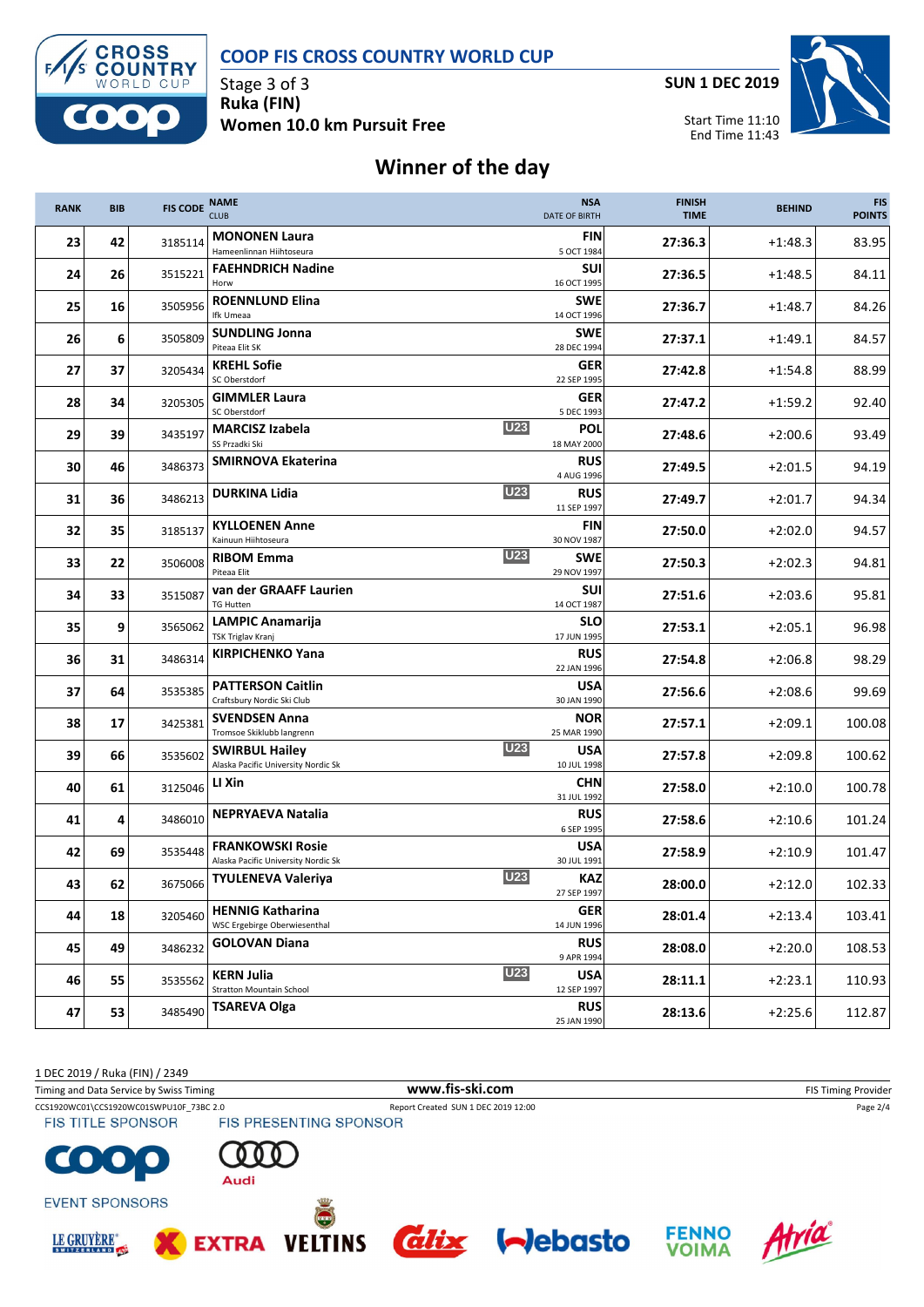**CROSS<br>COUNTRY** WORLD CUP

#### **COOP FIS CROSS COUNTRY WORLD CUP**

Stage 3 of 3 **Ruka (FIN) Women 10.0 km Pursuit Free** **SUN 1 DEC 2019**



### **Winner of the day**

| <b>RANK</b> | <b>BIB</b> | <b>FIS CODE</b> | <b>NAME</b><br><b>CLUB</b>                                     |            | <b>NSA</b><br><b>DATE OF BIRTH</b> | <b>FINISH</b><br><b>TIME</b> | <b>BEHIND</b> | <b>FIS</b><br><b>POINTS</b> |
|-------------|------------|-----------------|----------------------------------------------------------------|------------|------------------------------------|------------------------------|---------------|-----------------------------|
| 23          | 42         | 3185114         | <b>MONONEN Laura</b><br>Hameenlinnan Hiihtoseura               |            | <b>FIN</b><br>5 OCT 1984           | 27:36.3                      | $+1:48.3$     | 83.95                       |
| 24          | 26         | 3515221         | <b>FAEHNDRICH Nadine</b><br>Horw                               |            | SUI<br>16 OCT 1995                 | 27:36.5                      | $+1:48.5$     | 84.11                       |
| 25          | 16         | 3505956         | <b>ROENNLUND Elina</b><br>Ifk Umeaa                            |            | <b>SWE</b><br>14 OCT 1996          | 27:36.7                      | $+1:48.7$     | 84.26                       |
| 26          | 6          | 3505809         | <b>SUNDLING Jonna</b><br>Piteaa Elit SK                        |            | <b>SWE</b><br>28 DEC 1994          | 27:37.1                      | $+1:49.1$     | 84.57                       |
| 27          | 37         | 3205434         | <b>KREHL Sofie</b><br>SC Oberstdorf                            |            | <b>GER</b><br>22 SEP 1995          | 27:42.8                      | $+1:54.8$     | 88.99                       |
| 28          | 34         | 3205305         | <b>GIMMLER Laura</b><br>SC Oberstdorf                          |            | <b>GER</b><br>5 DEC 1993           | 27:47.2                      | $+1:59.2$     | 92.40                       |
| 29          | 39         | 3435197         | <b>MARCISZ Izabela</b><br>SS Przadki Ski                       | <b>U23</b> | POL<br>18 MAY 2000                 | 27:48.6                      | $+2:00.6$     | 93.49                       |
| 30          | 46         | 3486373         | <b>SMIRNOVA Ekaterina</b>                                      |            | <b>RUS</b><br>4 AUG 1996           | 27:49.5                      | $+2:01.5$     | 94.19                       |
| 31          | 36         | 3486213         | <b>DURKINA Lidia</b>                                           | <b>U23</b> | <b>RUS</b><br>11 SEP 1997          | 27:49.7                      | $+2:01.7$     | 94.34                       |
| 32          | 35         | 3185137         | <b>KYLLOENEN Anne</b><br>Kainuun Hiihtoseura                   |            | <b>FIN</b><br>30 NOV 1987          | 27:50.0                      | $+2:02.0$     | 94.57                       |
| 33          | 22         | 3506008         | <b>RIBOM Emma</b><br>Piteaa Elit                               | <b>U23</b> | <b>SWE</b><br>29 NOV 1997          | 27:50.3                      | $+2:02.3$     | 94.81                       |
| 34          | 33         | 3515087         | van der GRAAFF Laurien<br><b>TG Hutten</b>                     |            | <b>SUI</b><br>14 OCT 1987          | 27:51.6                      | $+2:03.6$     | 95.81                       |
| 35          | 9          | 3565062         | <b>LAMPIC Anamarija</b><br>TSK Triglav Kranj                   |            | <b>SLO</b><br>17 JUN 1995          | 27:53.1                      | $+2:05.1$     | 96.98                       |
| 36          | 31         | 3486314         | <b>KIRPICHENKO Yana</b>                                        |            | <b>RUS</b><br>22 JAN 1996          | 27:54.8                      | $+2:06.8$     | 98.29                       |
| 37          | 64         | 3535385         | <b>PATTERSON Caitlin</b><br>Craftsbury Nordic Ski Club         |            | <b>USA</b><br>30 JAN 1990          | 27:56.6                      | $+2:08.6$     | 99.69                       |
| 38          | 17         | 3425381         | <b>SVENDSEN Anna</b><br>Tromsoe Skiklubb langrenn              |            | <b>NOR</b><br>25 MAR 1990          | 27:57.1                      | $+2:09.1$     | 100.08                      |
| 39          | 66         | 3535602         | <b>SWIRBUL Hailey</b><br>Alaska Pacific University Nordic Sk   | <b>U23</b> | <b>USA</b><br>10 JUL 1998          | 27:57.8                      | $+2:09.8$     | 100.62                      |
| 40          | 61         | 3125046         | LI Xin                                                         |            | <b>CHN</b><br>31 JUL 1992          | 27:58.0                      | $+2:10.0$     | 100.78                      |
| 41          | 4          | 3486010         | <b>NEPRYAEVA Natalia</b>                                       |            | <b>RUS</b><br>6 SEP 1995           | 27:58.6                      | $+2:10.6$     | 101.24                      |
| 42          | 69         | 3535448         | <b>FRANKOWSKI Rosie</b><br>Alaska Pacific University Nordic Sk |            | <b>USA</b><br>30 JUL 1991          | 27:58.9                      | $+2:10.9$     | 101.47                      |
| 43          | 62         | 3675066         | <b>TYULENEVA Valeriya</b>                                      | <b>U23</b> | <b>KAZ</b><br>27 SEP 1997          | 28:00.0                      | $+2:12.0$     | 102.33                      |
| 44          | 18         | 3205460         | <b>HENNIG Katharina</b><br>WSC Ergebirge Oberwiesenthal        |            | <b>GER</b><br>14 JUN 1996          | 28:01.4                      | $+2:13.4$     | 103.41                      |
| 45          | 49         | 3486232         | <b>GOLOVAN Diana</b>                                           |            | <b>RUS</b><br>9 APR 1994           | 28:08.0                      | $+2:20.0$     | 108.53                      |
| 46          | 55         | 3535562         | <b>KERN Julia</b><br><b>Stratton Mountain School</b>           | <b>U23</b> | <b>USA</b><br>12 SEP 1997          | 28:11.1                      | $+2:23.1$     | 110.93                      |
| 47          | 53         | 3485490         | <b>TSAREVA Olga</b>                                            |            | <b>RUS</b><br>25 JAN 1990          | 28:13.6                      | $+2:25.6$     | 112.87                      |

1 DEC 2019 / Ruka (FIN) / 2349

Timing and Data Service by Swiss Timing **WWW.fis-Ski.com WWW.fis-Ski.com** FIS Timing Provider

CCS1920WC01\CCS1920WC01SWPU10F\_73BC 2.0 Report Created SUN 1 DEC 2019 12:00 Page 2/4<br>
FIS TITLE SPONSOR FIS PRESENTING SPONSOR **FIS TITLE SPONSOR** 



**EXTRA** 



**EVENT SPONSORS** 





**VELTINS** 







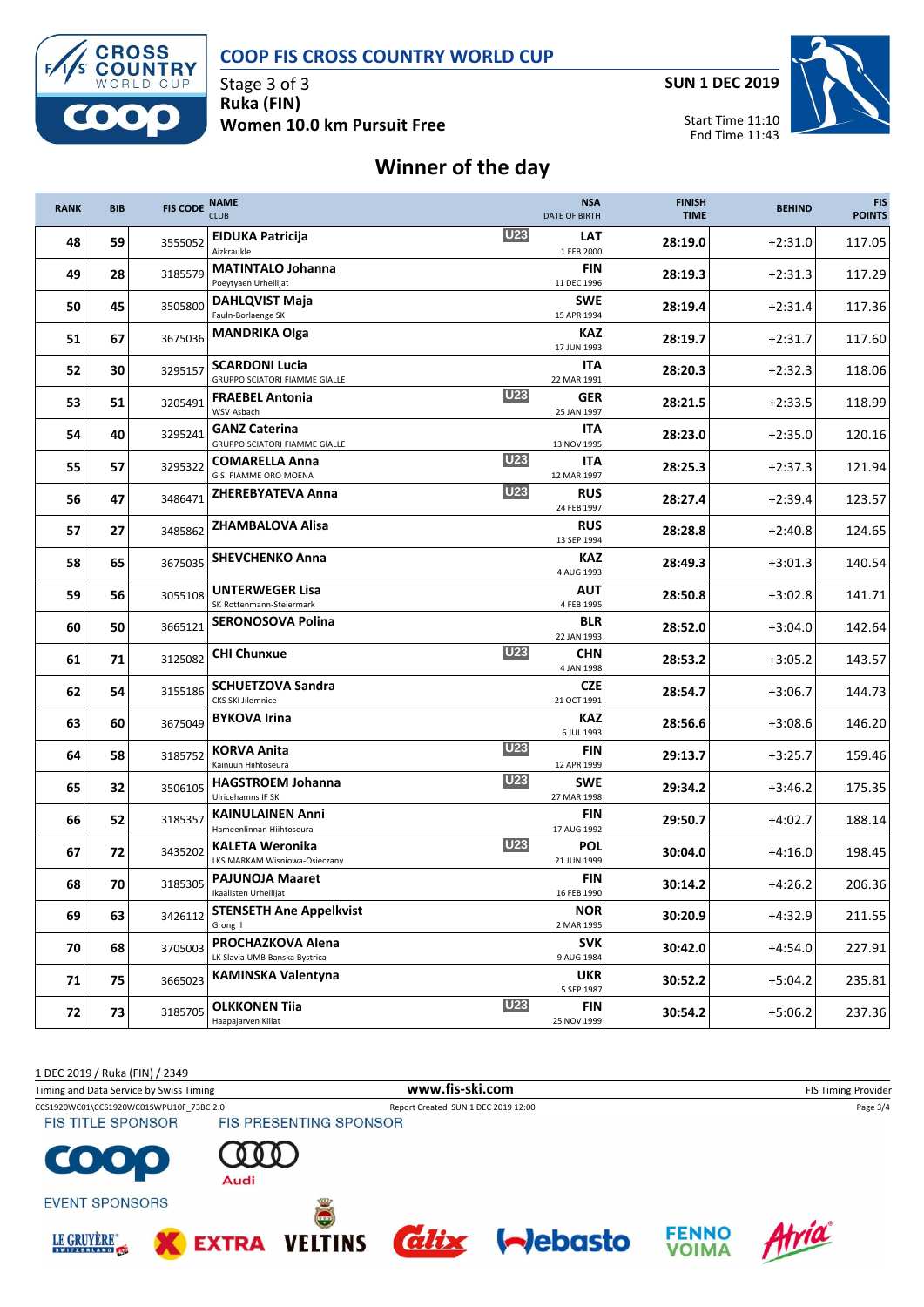



Stage 3 of 3 **Ruka (FIN) Women 10.0 km Pursuit Free** **SUN 1 DEC 2019**



Start Time 11:10 End Time 11:43

## **Winner of the day**

| <b>RANK</b> | <b>BIB</b> | <b>FIS CODE</b> | <b>NAME</b><br><b>CLUB</b>                                   |            | <b>NSA</b><br><b>DATE OF BIRTH</b> | <b>FINISH</b><br><b>TIME</b> | <b>BEHIND</b> | <b>FIS</b><br><b>POINTS</b> |
|-------------|------------|-----------------|--------------------------------------------------------------|------------|------------------------------------|------------------------------|---------------|-----------------------------|
| 48          | 59         | 3555052         | <b>EIDUKA Patricija</b><br>Aizkraukle                        | <b>U23</b> | LAT<br>1 FEB 2000                  | 28:19.0                      | $+2:31.0$     | 117.05                      |
| 49          | 28         | 3185579         | <b>MATINTALO Johanna</b><br>Poeytyaen Urheilijat             |            | <b>FIN</b><br>11 DEC 1996          | 28:19.3                      | $+2:31.3$     | 117.29                      |
| 50          | 45         | 3505800         | <b>DAHLQVIST Maja</b><br>Fauln-Borlaenge SK                  |            | <b>SWE</b><br>15 APR 1994          | 28:19.4                      | $+2:31.4$     | 117.36                      |
| 51          | 67         | 3675036         | <b>MANDRIKA Olga</b>                                         |            | <b>KAZ</b><br>17 JUN 1993          | 28:19.7                      | $+2:31.7$     | 117.60                      |
| 52          | 30         | 3295157         | <b>SCARDONI Lucia</b><br>GRUPPO SCIATORI FIAMME GIALLE       |            | <b>ITA</b><br>22 MAR 1991          | 28:20.3                      | $+2:32.3$     | 118.06                      |
| 53          | 51         | 3205491         | <b>FRAEBEL Antonia</b><br>WSV Asbach                         | <b>U23</b> | <b>GER</b><br>25 JAN 1997          | 28:21.5                      | $+2:33.5$     | 118.99                      |
| 54          | 40         | 3295241         | <b>GANZ Caterina</b><br><b>GRUPPO SCIATORI FIAMME GIALLE</b> |            | <b>ITA</b><br>13 NOV 1995          | 28:23.0                      | $+2:35.0$     | 120.16                      |
| 55          | 57         | 3295322         | <b>COMARELLA Anna</b><br>G.S. FIAMME ORO MOENA               | <b>U23</b> | <b>ITA</b><br>12 MAR 1997          | 28:25.3                      | $+2:37.3$     | 121.94                      |
| 56          | 47         | 3486471         | <b>ZHEREBYATEVA Anna</b>                                     | <b>U23</b> | <b>RUS</b><br>24 FEB 1997          | 28:27.4                      | $+2:39.4$     | 123.57                      |
| 57          | 27         | 3485862         | <b>ZHAMBALOVA Alisa</b>                                      |            | <b>RUS</b><br>13 SEP 1994          | 28:28.8                      | $+2:40.8$     | 124.65                      |
| 58          | 65         | 3675035         | <b>SHEVCHENKO Anna</b>                                       |            | <b>KAZ</b><br>4 AUG 1993           | 28:49.3                      | $+3:01.3$     | 140.54                      |
| 59          | 56         | 3055108         | <b>UNTERWEGER Lisa</b><br>SK Rottenmann-Steiermark           |            | AUT<br>4 FEB 1995                  | 28:50.8                      | $+3:02.8$     | 141.71                      |
| 60          | 50         | 3665121         | SERONOSOVA Polina                                            |            | <b>BLR</b><br>22 JAN 1993          | 28:52.0                      | $+3:04.0$     | 142.64                      |
| 61          | 71         | 3125082         | <b>CHI Chunxue</b>                                           | <b>U23</b> | <b>CHN</b><br>4 JAN 1998           | 28:53.2                      | $+3:05.2$     | 143.57                      |
| 62          | 54         | 3155186         | <b>SCHUETZOVA Sandra</b><br>CKS SKI Jilemnice                |            | <b>CZE</b><br>21 OCT 1991          | 28:54.7                      | $+3:06.7$     | 144.73                      |
| 63          | 60         | 3675049         | <b>BYKOVA Irina</b>                                          |            | <b>KAZ</b><br>6 JUL 1993           | 28:56.6                      | $+3:08.6$     | 146.20                      |
| 64          | 58         | 3185752         | <b>KORVA Anita</b><br>Kainuun Hiihtoseura                    | <b>U23</b> | <b>FIN</b><br>12 APR 1999          | 29:13.7                      | $+3:25.7$     | 159.46                      |
| 65          | 32         | 3506105         | <b>HAGSTROEM Johanna</b><br>Ulricehamns IF SK                | <b>U23</b> | <b>SWE</b><br>27 MAR 1998          | 29:34.2                      | $+3:46.2$     | 175.35                      |
| 66          | 52         | 3185357         | <b>KAINULAINEN Anni</b><br>Hameenlinnan Hiihtoseura          |            | <b>FIN</b><br>17 AUG 1992          | 29:50.7                      | $+4:02.7$     | 188.14                      |
| 67          | 72         | 3435202         | <b>KALETA Weronika</b><br>LKS MARKAM Wisniowa-Osieczany      | <b>U23</b> | POL<br>21 JUN 1999                 | 30:04.0                      | +4:16.0       | 198.45                      |
| 68          | 70         | 3185305         | <b>PAJUNOJA Maaret</b><br>Ikaalisten Urheilijat              |            | <b>FIN</b><br>16 FEB 1990          | 30:14.2                      | $+4:26.2$     | 206.36                      |
| 69          | 63         | 3426112         | <b>STENSETH Ane Appelkvist</b><br>Grong II                   |            | <b>NOR</b><br>2 MAR 1995           | 30:20.9                      | $+4:32.9$     | 211.55                      |
| 70          | 68         | 3705003         | PROCHAZKOVA Alena<br>LK Slavia UMB Banska Bystrica           |            | <b>SVK</b><br>9 AUG 1984           | 30:42.0                      | $+4:54.0$     | 227.91                      |
| 71          | 75         | 3665023         | <b>KAMINSKA Valentyna</b>                                    |            | <b>UKR</b><br>5 SEP 1987           | 30:52.2                      | $+5:04.2$     | 235.81                      |
| 72          | 73         | 3185705         | <b>OLKKONEN Tiia</b><br>Haapajarven Kiilat                   | U23        | <b>FIN</b><br>25 NOV 1999          | 30:54.2                      | $+5:06.2$     | 237.36                      |

1 DEC 2019 / Ruka (FIN) / 2349

Timing and Data Service by Swiss Timing **WWW.fis-Ski.com WWW.fis-Ski.com** FIS Timing Provider

CCS1920WC01\CCS1920WC01SWPU10F\_73BC 2.0 Report Created SUN 1 DEC 2019 12:00 Page 3/4<br>
FIS TITLE SPONSOR FIS PRESENTING SPONSOR



**FIS TITLE SPONSOR** 



**EXTRA** 



 $\bullet$